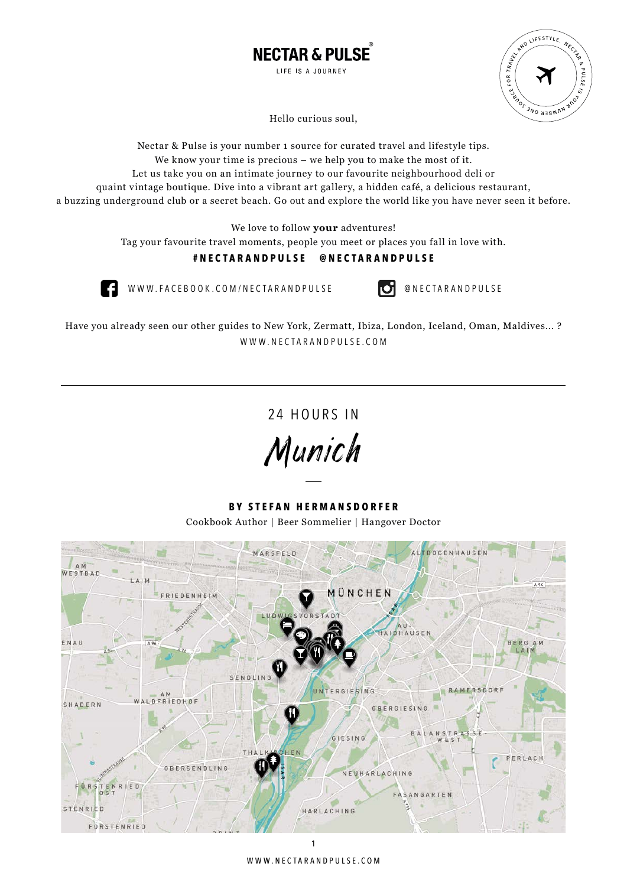



Hello curious soul,

Nectar & Pulse is your number 1 source for curated travel and lifestyle tips. We know your time is precious – we help you to make the most of it. Let us take you on an intimate journey to our favourite neighbourhood deli or quaint vintage boutique. Dive into a vibrant art gallery, a hidden café, a delicious restaurant, a buzzing underground club or a secret beach. Go out and explore the world like you have never seen it before.

We love to follow **your** adventures!

Tag your favourite travel moments, people you meet or places you fall in love with.

### **#nectarandpulse @nectarandpulse**



WWW.FACEBOOK.COM/NECTARANDPULSE **@** NECTARANDPULSE

Have you already seen our other guides to New York, Zermatt, Ibiza, London, Iceland, Oman, Maldives... ? WWW.NECTARANDPULSE.COM

24 HOURS IN

Munich

**By S tefan Hermansdorfer** Cookbook Author | Beer Sommelier | Hangover Doctor



www.nectarandpulse.com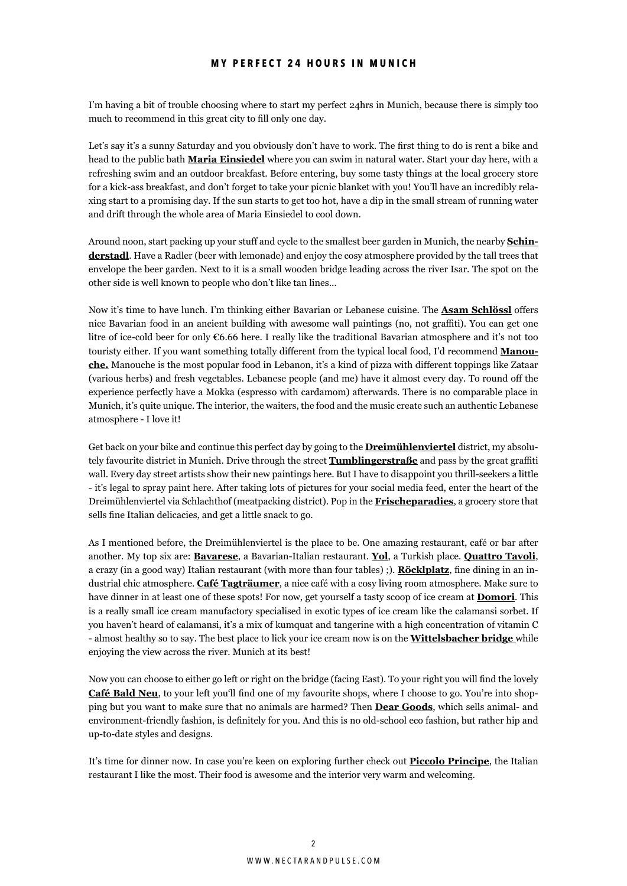### **M y perfect 24 h ours in munic h**

I'm having a bit of trouble choosing where to start my perfect 24hrs in Munich, because there is simply too much to recommend in this great city to fill only one day.

Let's say it's a sunny Saturday and you obviously don't have to work. The first thing to do is rent a bike and head to the public bath **Maria Einsiedel** where you can swim in natural water. Start your day here, with a refreshing swim and an outdoor breakfast. Before entering, buy some tasty things at the local grocery store for a kick-ass breakfast, and don't forget to take your picnic blanket with you! You'll have an incredibly relaxing start to a promising day. If the sun starts to get too hot, have a dip in the small stream of running water and drift through the whole area of Maria Einsiedel to cool down.

Around noon, start packing up your stuff and cycle to the smallest beer garden in Munich, the nearby **Schinderstadl**. Have a Radler (beer with lemonade) and enjoy the cosy atmosphere provided by the tall trees that envelope the beer garden. Next to it is a small wooden bridge leading across the river Isar. The spot on the other side is well known to people who don't like tan lines…

Now it's time to have lunch. I'm thinking either Bavarian or Lebanese cuisine. The **Asam Schlössl** offers nice Bavarian food in an ancient building with awesome wall paintings (no, not graffiti). You can get one litre of ice-cold beer for only €6.66 here. I really like the traditional Bavarian atmosphere and it's not too touristy either. If you want something totally different from the typical local food, I'd recommend **Manouche.** Manouche is the most popular food in Lebanon, it's a kind of pizza with different toppings like Zataar (various herbs) and fresh vegetables. Lebanese people (and me) have it almost every day. To round off the experience perfectly have a Mokka (espresso with cardamom) afterwards. There is no comparable place in Munich, it's quite unique. The interior, the waiters, the food and the music create such an authentic Lebanese atmosphere - I love it!

Get back on your bike and continue this perfect day by going to the **Dreimühlenviertel** district, my absolutely favourite district in Munich. Drive through the street **Tumblingerstraße** and pass by the great graffiti wall. Every day street artists show their new paintings here. But I have to disappoint you thrill-seekers a little - it's legal to spray paint here. After taking lots of pictures for your social media feed, enter the heart of the Dreimühlenviertel via Schlachthof (meatpacking district). Pop in the **Frischeparadies**, a grocery store that sells fine Italian delicacies, and get a little snack to go.

As I mentioned before, the Dreimühlenviertel is the place to be. One amazing restaurant, café or bar after another. My top six are: **Bavarese**, a Bavarian-Italian restaurant. **Yol**, a Turkish place. **Quattro Tavoli**, a crazy (in a good way) Italian restaurant (with more than four tables) ;). **Röcklplatz**, fine dining in an industrial chic atmosphere. **Café Tagträumer**, a nice café with a cosy living room atmosphere. Make sure to have dinner in at least one of these spots! For now, get yourself a tasty scoop of ice cream at **Domori**. This is a really small ice cream manufactory specialised in exotic types of ice cream like the calamansi sorbet. If you haven't heard of calamansi, it's a mix of kumquat and tangerine with a high concentration of vitamin C - almost healthy so to say. The best place to lick your ice cream now is on the **Wittelsbacher bridge** while enjoying the view across the river. Munich at its best!

Now you can choose to either go left or right on the bridge (facing East). To your right you will find the lovely **Café Bald Neu**, to your left you'll find one of my favourite shops, where I choose to go. You're into shopping but you want to make sure that no animals are harmed? Then **Dear Goods**, which sells animal- and environment-friendly fashion, is definitely for you. And this is no old-school eco fashion, but rather hip and up-to-date styles and designs.

It's time for dinner now. In case you're keen on exploring further check out **Piccolo Principe**, the Italian restaurant I like the most. Their food is awesome and the interior very warm and welcoming.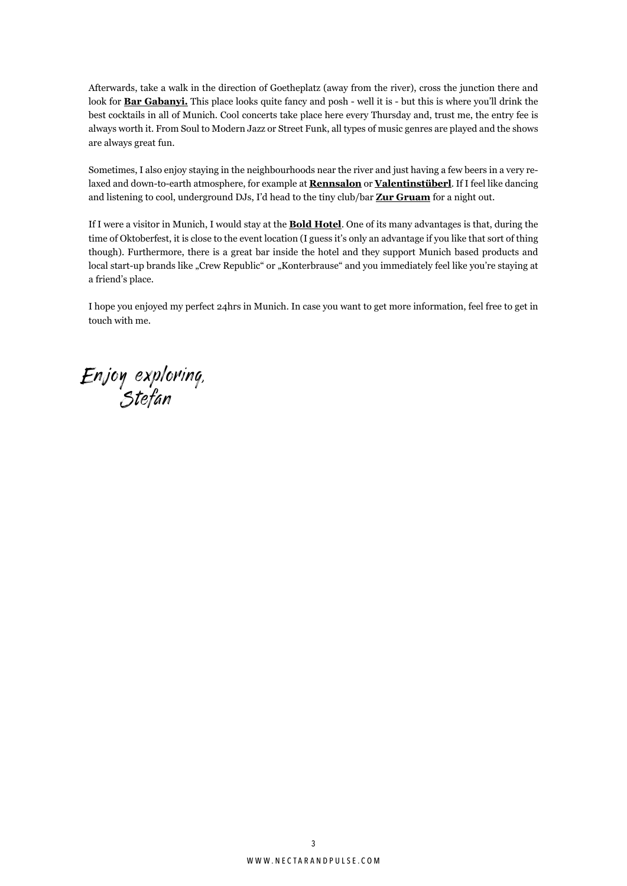Afterwards, take a walk in the direction of Goetheplatz (away from the river), cross the junction there and look for **Bar Gabanyi**. This place looks quite fancy and posh - well it is - but this is where you'll drink the best cocktails in all of Munich. Cool concerts take place here every Thursday and, trust me, the entry fee is always worth it. From Soul to Modern Jazz or Street Funk, all types of music genres are played and the shows are always great fun.

Sometimes, I also enjoy staying in the neighbourhoods near the river and just having a few beers in a very relaxed and down-to-earth atmosphere, for example at **Rennsalon** or **Valentinstüberl**. If I feel like dancing and listening to cool, underground DJs, I'd head to the tiny club/bar **Zur Gruam** for a night out.

If I were a visitor in Munich, I would stay at the **Bold Hotel**. One of its many advantages is that, during the time of Oktoberfest, it is close to the event location (I guess it's only an advantage if you like that sort of thing though). Furthermore, there is a great bar inside the hotel and they support Munich based products and local start-up brands like "Crew Republic" or "Konterbrause" and you immediately feel like you're staying at a friend's place.

I hope you enjoyed my perfect 24hrs in Munich. In case you want to get more information, feel free to get in touch with me.

Enjoy exploring, Stefan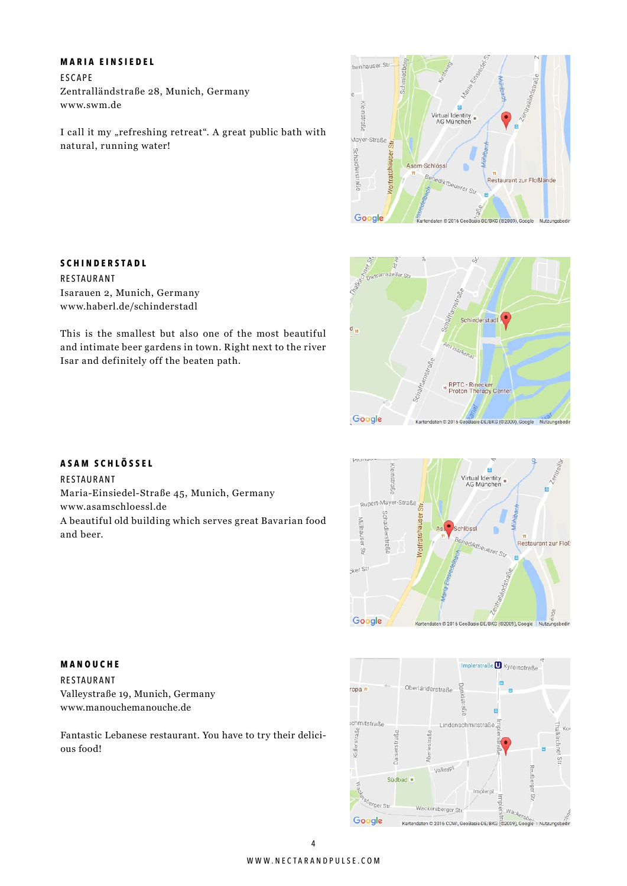### **M aria E insiedel**

E scape Zentralländstraße 28, Munich, Germany www.swm.de

I call it my "refreshing retreat". A great public bath with natural, running water!



# Schinderstad RPTC - Rinecker<br>Proton Therapy Center Google Kartendaten © 2016 GeoBasis-DE/BKG (@2009), Go Nutzungs

### **A sam S c h lössel**

**S c h inder S tadl**

Isarauen 2, Munich, Germany www.haberl.de/schinderstadl

Isar and definitely off the beaten path.

Restaurant

Restaurant Maria-Einsiedel-Straße 45, Munich, Germany www.asamschloessl.de A beautiful old building which serves great Bavarian food and beer.

This is the smallest but also one of the most beautiful and intimate beer gardens in town. Right next to the river





### **M anouc h e**

Restaurant Valleystraße 19, Munich, Germany www.manouchemanouche.de

Fantastic Lebanese restaurant. You have to try their delicious food!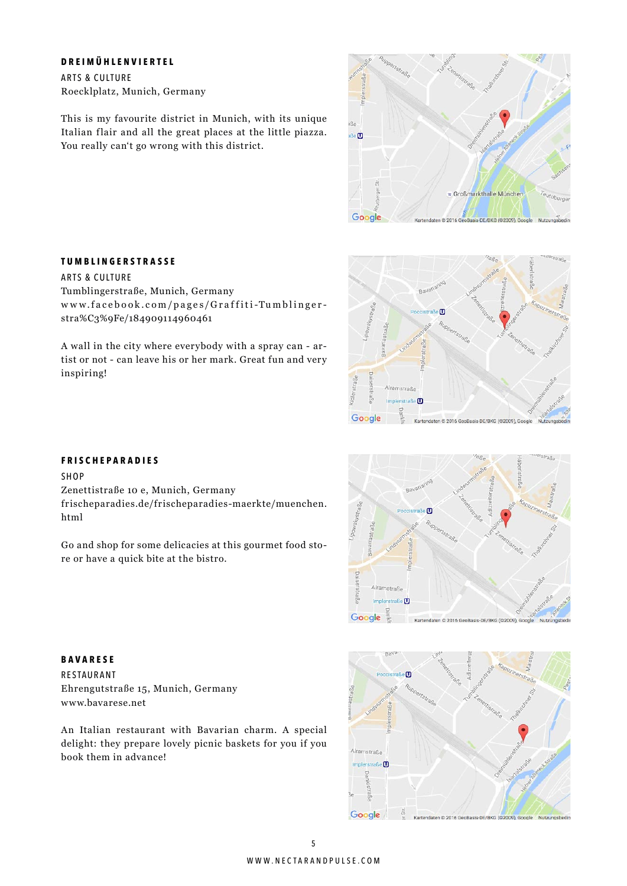### **D reimü h lenviertel**

Arts & Culture Roecklplatz, Munich, Germany

This is my favourite district in Munich, with its unique Italian flair and all the great places at the little piazza. You really can't go wrong with this district.



### **T u m b lingerstra SS e**

Arts & Culture Tumblingerstraße, Munich, Germany w w w.facebook.com/pages/Graffiti-Tumblinger stra%C3%9Fe/184909114960461

A wall in the city where everybody with a spray can - artist or not - can leave his or her mark. Great fun and very inspiring!



### **F risc h e P aradies**

Shop

html

Zenettistraße 10 e, Munich, Germany frischeparadies.de/frischeparadies-maerkte/muenchen.

Go and shop for some delicacies at this gourmet food store or have a quick bite at the bistro.



**Bavarese** Restaurant Ehrengutstraße 15, Munich, Germany www.bavarese.net

An Italian restaurant with Bavarian charm. A special delight: they prepare lovely picnic baskets for you if you book them in advance!

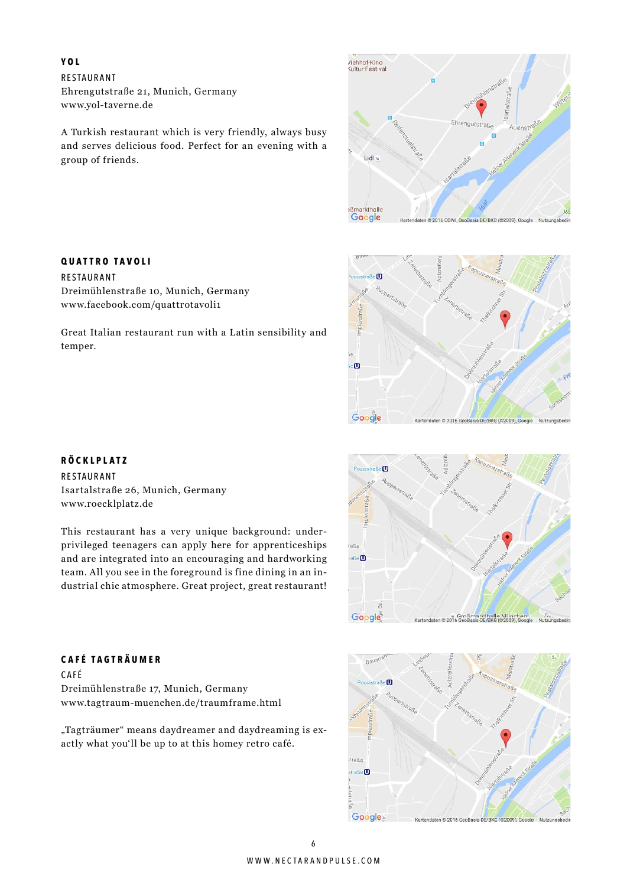**YOL** Restaurant Ehrengutstraße 21, Munich, Germany www.yol-taverne.de

A Turkish restaurant which is very friendly, always busy and serves delicious food. Perfect for an evening with a group of friends.





**Quattro TA v o l i**

Restaurant Dreimühlenstraße 10, Munich, Germany www.facebook.com/quattrotavoli1

Great Italian restaurant run with a Latin sensibility and temper.

### **R öcklplatz**

Restaurant Isartalstraße 26, Munich, Germany www.roecklplatz.de

This restaurant has a very unique background: underprivileged teenagers can apply here for apprenticeships and are integrated into an encouraging and hardworking team. All you see in the foreground is fine dining in an industrial chic atmosphere. Great project, great restaurant!



# Baya m traße  $strab \mathbf{C}$ Google<sub></sub> Kartendaten © 2016 GeoBasis-DE/BKG (@2009), Google Nutz

### **C a f é TA gträumer**

C a f é Dreimühlenstraße 17, Munich, Germany www.tagtraum-muenchen.de/traumframe.html

"Tagträumer" means daydreamer and daydreaming is exactly what you'll be up to at this homey retro café.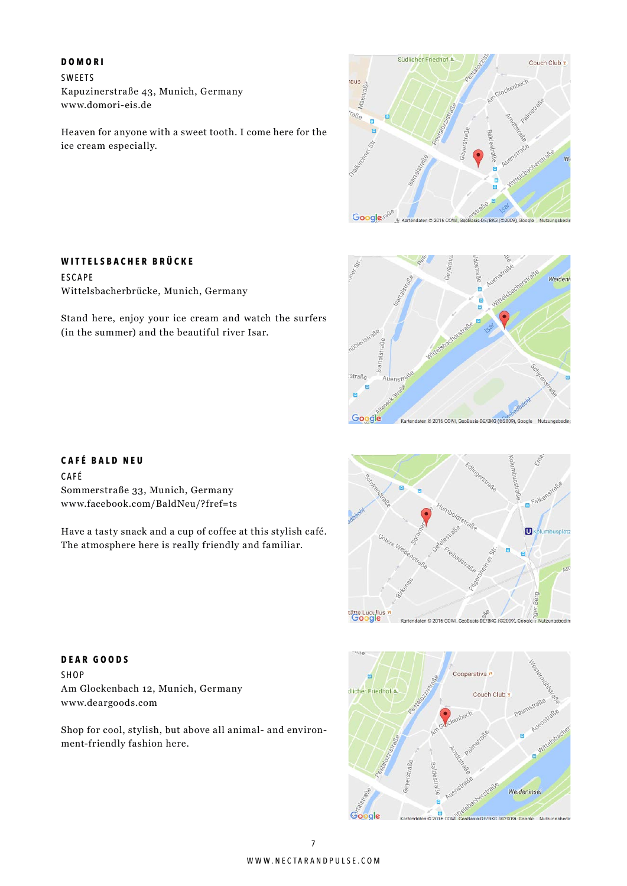#### **D omori**

**ESCAPE** 

**SWFFTS** Kapuzinerstraße 43, Munich, Germany www.domori-eis.de

**Wittels b a c h er Brücke**

Wittelsbacherbrücke, Munich, Germany

(in the summer) and the beautiful river Isar.

Heaven for anyone with a sweet tooth. I come here for the ice cream especially.

Stand here, enjoy your ice cream and watch the surfers



## Weiden :straße  $\blacksquare$ .<br>F Google Kartendaten © 2016 COWI, GeoBasis-DE/BKG (©2009), Google Nutzungst

### **C a f é Bald N e u**

C a f é Sommerstraße 33, Munich, Germany www.facebook.com/BaldNeu/?fref=ts

Have a tasty snack and a cup of coffee at this stylish café. The atmosphere here is really friendly and familiar.



Cooperativa<sup>\*</sup> icher Friedhof<sup>\*</sup> Couch Club Weideninsel Google KG (@2009) God

**D ear G oods** Shop Am Glockenbach 12, Munich, Germany www.deargoods.com

Shop for cool, stylish, but above all animal- and environment-friendly fashion here.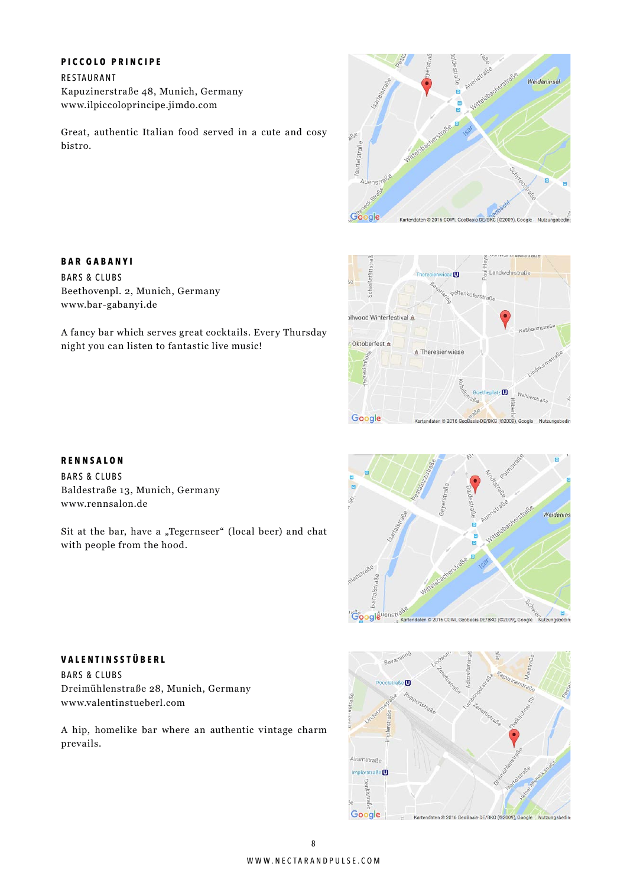### **P iccolo P rincipe**

Restaurant Kapuzinerstraße 48, Munich, Germany www.ilpiccoloprincipe.jimdo.com

Great, authentic Italian food served in a cute and cosy bistro.

A fancy bar which serves great cocktails. Every Thursday





### **R ennsalon**

**Bar GAb a n y i** Bars & clubs

www.bar-gabanyi.de

**BARS & CLUBS** Baldestraße 13, Munich, Germany www.rennsalon.de

Beethovenpl. 2, Munich, Germany

night you can listen to fantastic live music!

Sit at the bar, have a "Tegernseer" (local beer) and chat with people from the hood.



## Baya cistraße<sup>O</sup> Alramstraße Impleratraße<sup>(1)</sup> Google Kartendaten © 2016 GeoBasis-DE/BKG (©2009), Google Nutzu

### **V alentinsstü b erl**

**BARS & CLUBS** Dreimühlenstraße 28, Munich, Germany www.valentinstueberl.com

A hip, homelike bar where an authentic vintage charm prevails.